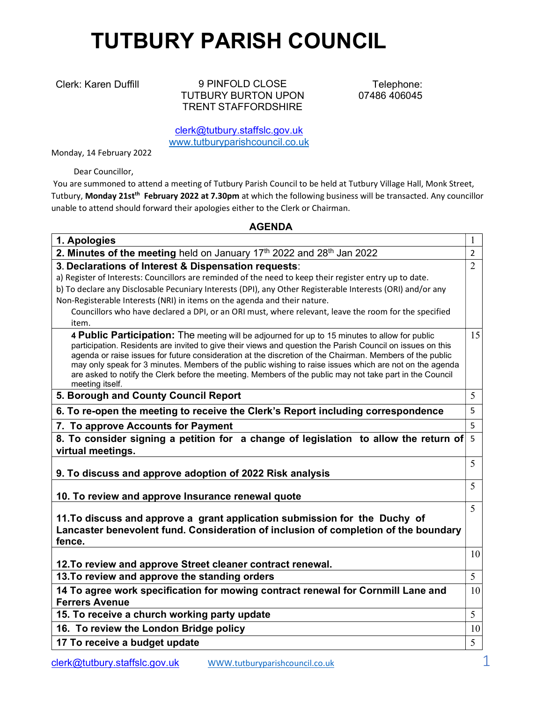## TUTBURY PARISH COUNCIL

Clerk: Karen Duffill 9 PINFOLD CLOSE TUTBURY BURTON UPON TRENT STAFFORDSHIRE

Telephone: 07486 406045

clerk@tutbury.staffslc.gov.uk www.tutburyparishcouncil.co.uk

Monday, 14 February 2022

Dear Councillor,

 You are summoned to attend a meeting of Tutbury Parish Council to be held at Tutbury Village Hall, Monk Street, Tutbury, Monday 21st<sup>th</sup> February 2022 at 7.30pm at which the following business will be transacted. Any councillor unable to attend should forward their apologies either to the Clerk or Chairman.

## AGENDA

| 1. Apologies                                                                                                                                                                                                                                                                                                                                                                                                                        |                |
|-------------------------------------------------------------------------------------------------------------------------------------------------------------------------------------------------------------------------------------------------------------------------------------------------------------------------------------------------------------------------------------------------------------------------------------|----------------|
| 2. Minutes of the meeting held on January 17th 2022 and 28th Jan 2022                                                                                                                                                                                                                                                                                                                                                               | $\overline{2}$ |
| 3. Declarations of Interest & Dispensation requests:                                                                                                                                                                                                                                                                                                                                                                                | $\overline{2}$ |
| a) Register of Interests: Councillors are reminded of the need to keep their register entry up to date.                                                                                                                                                                                                                                                                                                                             |                |
| b) To declare any Disclosable Pecuniary Interests (DPI), any Other Registerable Interests (ORI) and/or any                                                                                                                                                                                                                                                                                                                          |                |
| Non-Registerable Interests (NRI) in items on the agenda and their nature.                                                                                                                                                                                                                                                                                                                                                           |                |
| Councillors who have declared a DPI, or an ORI must, where relevant, leave the room for the specified                                                                                                                                                                                                                                                                                                                               |                |
| item.                                                                                                                                                                                                                                                                                                                                                                                                                               |                |
| 4 Public Participation: The meeting will be adjourned for up to 15 minutes to allow for public<br>participation. Residents are invited to give their views and question the Parish Council on issues on this<br>agenda or raise issues for future consideration at the discretion of the Chairman. Members of the public<br>may only speak for 3 minutes. Members of the public wishing to raise issues which are not on the agenda | 15             |
| are asked to notify the Clerk before the meeting. Members of the public may not take part in the Council<br>meeting itself.                                                                                                                                                                                                                                                                                                         |                |
| 5. Borough and County Council Report                                                                                                                                                                                                                                                                                                                                                                                                | 5              |
| 6. To re-open the meeting to receive the Clerk's Report including correspondence                                                                                                                                                                                                                                                                                                                                                    | 5              |
| 7. To approve Accounts for Payment                                                                                                                                                                                                                                                                                                                                                                                                  | 5              |
| 8. To consider signing a petition for a change of legislation to allow the return of                                                                                                                                                                                                                                                                                                                                                | 5              |
| virtual meetings.                                                                                                                                                                                                                                                                                                                                                                                                                   |                |
|                                                                                                                                                                                                                                                                                                                                                                                                                                     | 5              |
| 9. To discuss and approve adoption of 2022 Risk analysis                                                                                                                                                                                                                                                                                                                                                                            |                |
|                                                                                                                                                                                                                                                                                                                                                                                                                                     | 5              |
| 10. To review and approve Insurance renewal quote                                                                                                                                                                                                                                                                                                                                                                                   |                |
| 11. To discuss and approve a grant application submission for the Duchy of                                                                                                                                                                                                                                                                                                                                                          | 5              |
| Lancaster benevolent fund. Consideration of inclusion of completion of the boundary                                                                                                                                                                                                                                                                                                                                                 |                |
| fence.                                                                                                                                                                                                                                                                                                                                                                                                                              |                |
|                                                                                                                                                                                                                                                                                                                                                                                                                                     | 10             |
| 12. To review and approve Street cleaner contract renewal.                                                                                                                                                                                                                                                                                                                                                                          |                |
| 13. To review and approve the standing orders                                                                                                                                                                                                                                                                                                                                                                                       | 5              |
| 14 To agree work specification for mowing contract renewal for Cornmill Lane and                                                                                                                                                                                                                                                                                                                                                    | 10             |
| <b>Ferrers Avenue</b>                                                                                                                                                                                                                                                                                                                                                                                                               |                |
| 15. To receive a church working party update                                                                                                                                                                                                                                                                                                                                                                                        | 5              |
| 16. To review the London Bridge policy                                                                                                                                                                                                                                                                                                                                                                                              | 10             |
| 17 To receive a budget update                                                                                                                                                                                                                                                                                                                                                                                                       | 5              |